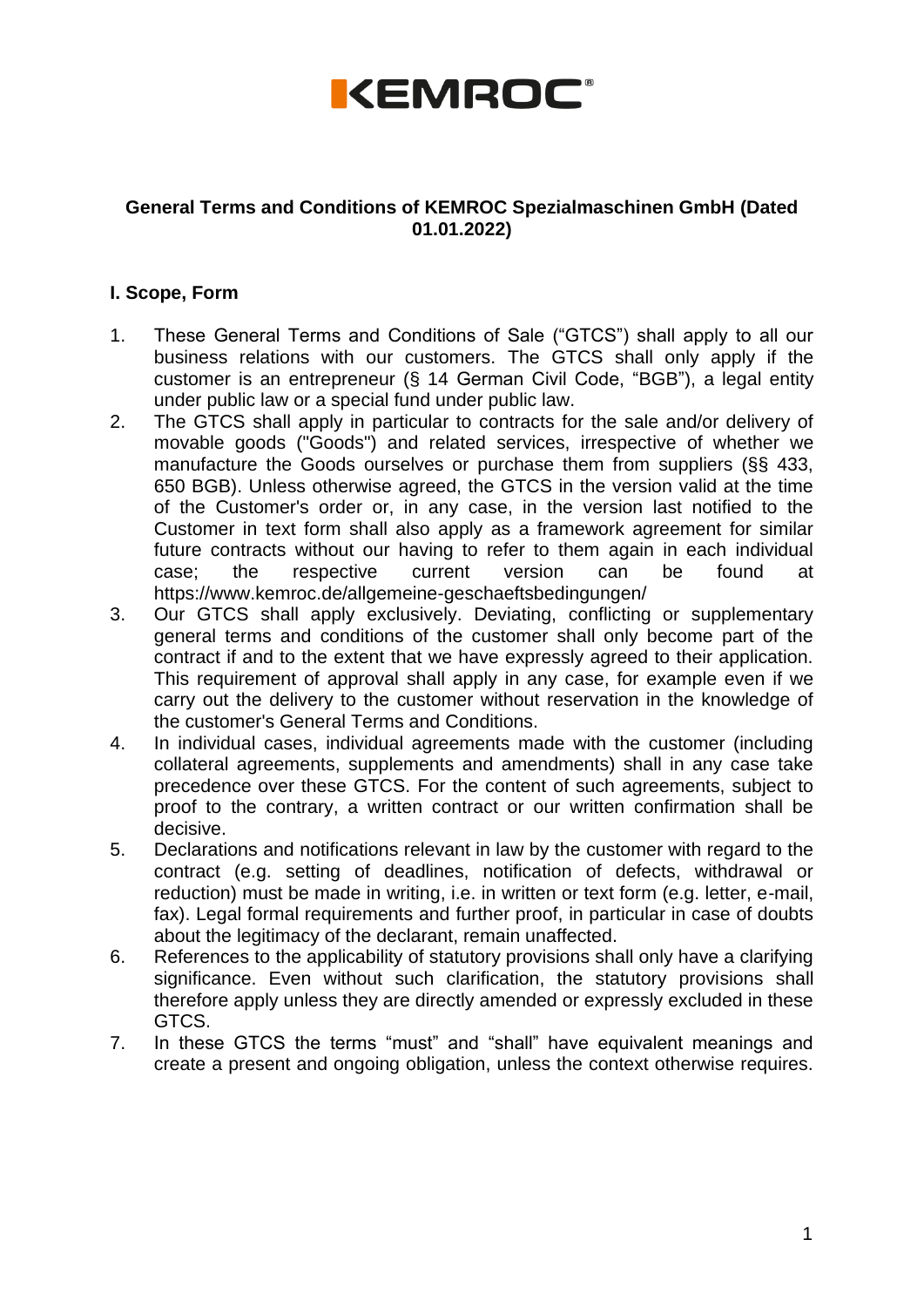

### **General Terms and Conditions of KEMROC Spezialmaschinen GmbH (Dated 01.01.2022)**

## **I. Scope, Form**

- 1. These General Terms and Conditions of Sale ("GTCS") shall apply to all our business relations with our customers. The GTCS shall only apply if the customer is an entrepreneur (§ 14 German Civil Code, "BGB"), a legal entity under public law or a special fund under public law.
- 2. The GTCS shall apply in particular to contracts for the sale and/or delivery of movable goods ("Goods") and related services, irrespective of whether we manufacture the Goods ourselves or purchase them from suppliers (§§ 433, 650 BGB). Unless otherwise agreed, the GTCS in the version valid at the time of the Customer's order or, in any case, in the version last notified to the Customer in text form shall also apply as a framework agreement for similar future contracts without our having to refer to them again in each individual case; the respective current version can be found at https://www.kemroc.de/allgemeine-geschaeftsbedingungen/
- 3. Our GTCS shall apply exclusively. Deviating, conflicting or supplementary general terms and conditions of the customer shall only become part of the contract if and to the extent that we have expressly agreed to their application. This requirement of approval shall apply in any case, for example even if we carry out the delivery to the customer without reservation in the knowledge of the customer's General Terms and Conditions.
- 4. In individual cases, individual agreements made with the customer (including collateral agreements, supplements and amendments) shall in any case take precedence over these GTCS. For the content of such agreements, subject to proof to the contrary, a written contract or our written confirmation shall be decisive.
- 5. Declarations and notifications relevant in law by the customer with regard to the contract (e.g. setting of deadlines, notification of defects, withdrawal or reduction) must be made in writing, i.e. in written or text form (e.g. letter, e-mail, fax). Legal formal requirements and further proof, in particular in case of doubts about the legitimacy of the declarant, remain unaffected.
- 6. References to the applicability of statutory provisions shall only have a clarifying significance. Even without such clarification, the statutory provisions shall therefore apply unless they are directly amended or expressly excluded in these GTCS.
- 7. In these GTCS the terms "must" and "shall" have equivalent meanings and create a present and ongoing obligation, unless the context otherwise requires.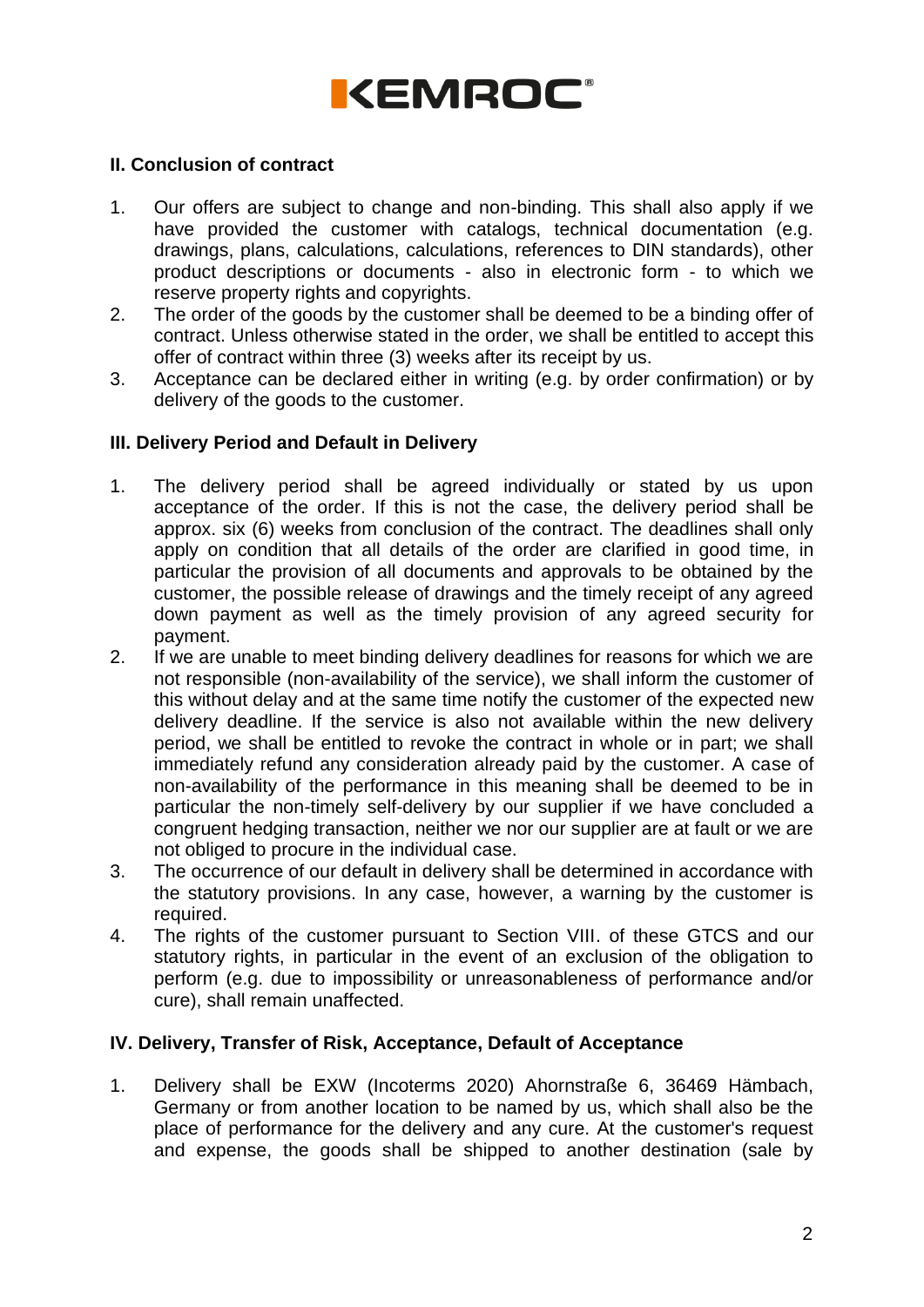

### **II. Conclusion of contract**

- 1. Our offers are subject to change and non-binding. This shall also apply if we have provided the customer with catalogs, technical documentation (e.g. drawings, plans, calculations, calculations, references to DIN standards), other product descriptions or documents - also in electronic form - to which we reserve property rights and copyrights.
- 2. The order of the goods by the customer shall be deemed to be a binding offer of contract. Unless otherwise stated in the order, we shall be entitled to accept this offer of contract within three (3) weeks after its receipt by us.
- 3. Acceptance can be declared either in writing (e.g. by order confirmation) or by delivery of the goods to the customer.

### **III. Delivery Period and Default in Delivery**

- 1. The delivery period shall be agreed individually or stated by us upon acceptance of the order. If this is not the case, the delivery period shall be approx. six (6) weeks from conclusion of the contract. The deadlines shall only apply on condition that all details of the order are clarified in good time, in particular the provision of all documents and approvals to be obtained by the customer, the possible release of drawings and the timely receipt of any agreed down payment as well as the timely provision of any agreed security for payment.
- 2. If we are unable to meet binding delivery deadlines for reasons for which we are not responsible (non-availability of the service), we shall inform the customer of this without delay and at the same time notify the customer of the expected new delivery deadline. If the service is also not available within the new delivery period, we shall be entitled to revoke the contract in whole or in part; we shall immediately refund any consideration already paid by the customer. A case of non-availability of the performance in this meaning shall be deemed to be in particular the non-timely self-delivery by our supplier if we have concluded a congruent hedging transaction, neither we nor our supplier are at fault or we are not obliged to procure in the individual case.
- 3. The occurrence of our default in delivery shall be determined in accordance with the statutory provisions. In any case, however, a warning by the customer is required.
- 4. The rights of the customer pursuant to Section VIII. of these GTCS and our statutory rights, in particular in the event of an exclusion of the obligation to perform (e.g. due to impossibility or unreasonableness of performance and/or cure), shall remain unaffected.

#### **IV. Delivery, Transfer of Risk, Acceptance, Default of Acceptance**

1. Delivery shall be EXW (Incoterms 2020) Ahornstraße 6, 36469 Hämbach, Germany or from another location to be named by us, which shall also be the place of performance for the delivery and any cure. At the customer's request and expense, the goods shall be shipped to another destination (sale by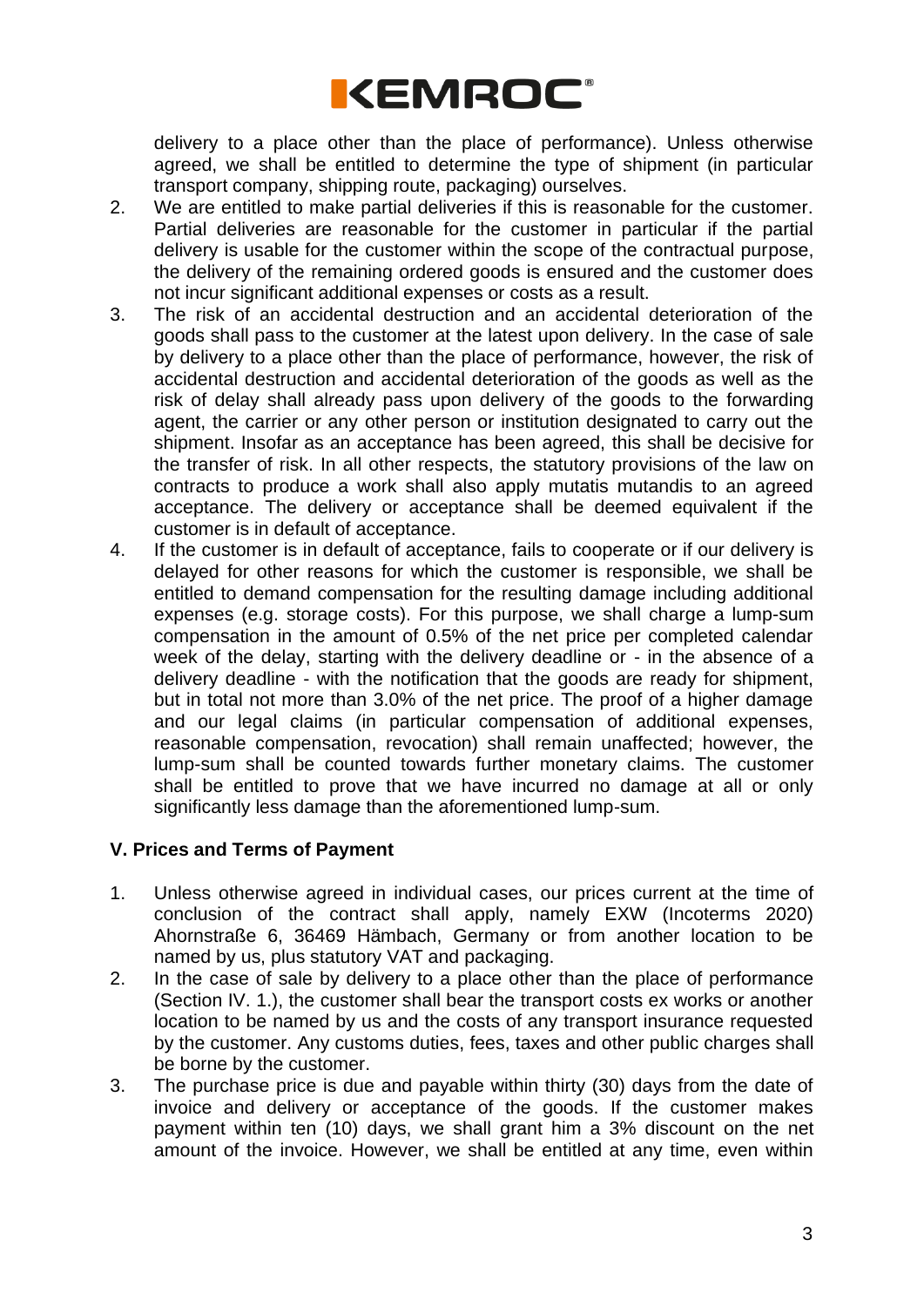

delivery to a place other than the place of performance). Unless otherwise agreed, we shall be entitled to determine the type of shipment (in particular transport company, shipping route, packaging) ourselves.

- 2. We are entitled to make partial deliveries if this is reasonable for the customer. Partial deliveries are reasonable for the customer in particular if the partial delivery is usable for the customer within the scope of the contractual purpose, the delivery of the remaining ordered goods is ensured and the customer does not incur significant additional expenses or costs as a result.
- 3. The risk of an accidental destruction and an accidental deterioration of the goods shall pass to the customer at the latest upon delivery. In the case of sale by delivery to a place other than the place of performance, however, the risk of accidental destruction and accidental deterioration of the goods as well as the risk of delay shall already pass upon delivery of the goods to the forwarding agent, the carrier or any other person or institution designated to carry out the shipment. Insofar as an acceptance has been agreed, this shall be decisive for the transfer of risk. In all other respects, the statutory provisions of the law on contracts to produce a work shall also apply mutatis mutandis to an agreed acceptance. The delivery or acceptance shall be deemed equivalent if the customer is in default of acceptance.
- 4. If the customer is in default of acceptance, fails to cooperate or if our delivery is delayed for other reasons for which the customer is responsible, we shall be entitled to demand compensation for the resulting damage including additional expenses (e.g. storage costs). For this purpose, we shall charge a lump-sum compensation in the amount of 0.5% of the net price per completed calendar week of the delay, starting with the delivery deadline or - in the absence of a delivery deadline - with the notification that the goods are ready for shipment, but in total not more than 3.0% of the net price. The proof of a higher damage and our legal claims (in particular compensation of additional expenses, reasonable compensation, revocation) shall remain unaffected; however, the lump-sum shall be counted towards further monetary claims. The customer shall be entitled to prove that we have incurred no damage at all or only significantly less damage than the aforementioned lump-sum.

### **V. Prices and Terms of Payment**

- 1. Unless otherwise agreed in individual cases, our prices current at the time of conclusion of the contract shall apply, namely EXW (Incoterms 2020) Ahornstraße 6, 36469 Hämbach, Germany or from another location to be named by us, plus statutory VAT and packaging.
- 2. In the case of sale by delivery to a place other than the place of performance (Section IV. 1.), the customer shall bear the transport costs ex works or another location to be named by us and the costs of any transport insurance requested by the customer. Any customs duties, fees, taxes and other public charges shall be borne by the customer.
- 3. The purchase price is due and payable within thirty (30) days from the date of invoice and delivery or acceptance of the goods. If the customer makes payment within ten (10) days, we shall grant him a 3% discount on the net amount of the invoice. However, we shall be entitled at any time, even within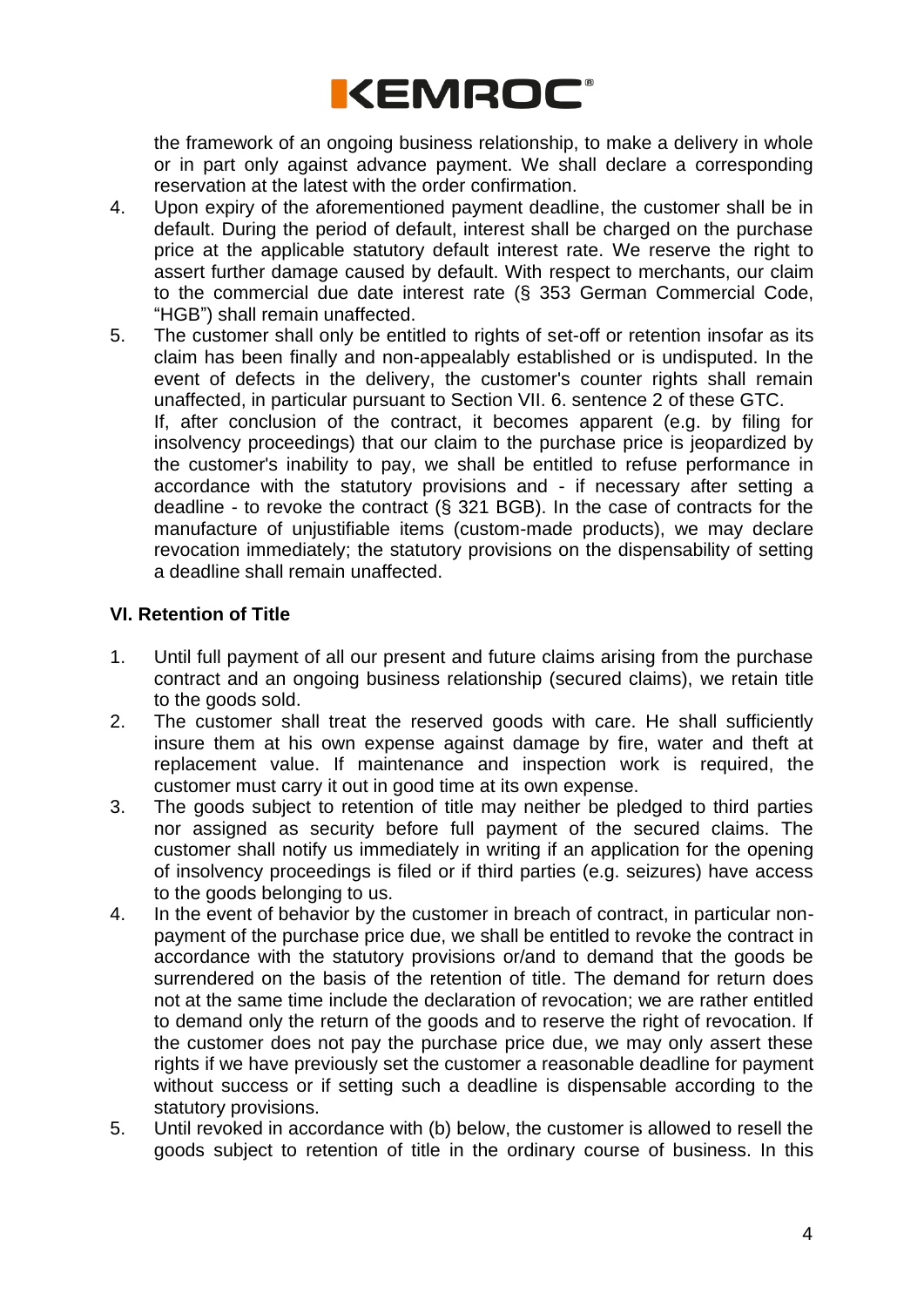

the framework of an ongoing business relationship, to make a delivery in whole or in part only against advance payment. We shall declare a corresponding reservation at the latest with the order confirmation.

- 4. Upon expiry of the aforementioned payment deadline, the customer shall be in default. During the period of default, interest shall be charged on the purchase price at the applicable statutory default interest rate. We reserve the right to assert further damage caused by default. With respect to merchants, our claim to the commercial due date interest rate (§ 353 German Commercial Code, "HGB") shall remain unaffected.
- 5. The customer shall only be entitled to rights of set-off or retention insofar as its claim has been finally and non-appealably established or is undisputed. In the event of defects in the delivery, the customer's counter rights shall remain unaffected, in particular pursuant to Section VII. 6. sentence 2 of these GTC. If, after conclusion of the contract, it becomes apparent (e.g. by filing for insolvency proceedings) that our claim to the purchase price is jeopardized by the customer's inability to pay, we shall be entitled to refuse performance in accordance with the statutory provisions and - if necessary after setting a deadline - to revoke the contract (§ 321 BGB). In the case of contracts for the manufacture of unjustifiable items (custom-made products), we may declare revocation immediately; the statutory provisions on the dispensability of setting a deadline shall remain unaffected.

### **VI. Retention of Title**

- 1. Until full payment of all our present and future claims arising from the purchase contract and an ongoing business relationship (secured claims), we retain title to the goods sold.
- 2. The customer shall treat the reserved goods with care. He shall sufficiently insure them at his own expense against damage by fire, water and theft at replacement value. If maintenance and inspection work is required, the customer must carry it out in good time at its own expense.
- 3. The goods subject to retention of title may neither be pledged to third parties nor assigned as security before full payment of the secured claims. The customer shall notify us immediately in writing if an application for the opening of insolvency proceedings is filed or if third parties (e.g. seizures) have access to the goods belonging to us.
- 4. In the event of behavior by the customer in breach of contract, in particular nonpayment of the purchase price due, we shall be entitled to revoke the contract in accordance with the statutory provisions or/and to demand that the goods be surrendered on the basis of the retention of title. The demand for return does not at the same time include the declaration of revocation; we are rather entitled to demand only the return of the goods and to reserve the right of revocation. If the customer does not pay the purchase price due, we may only assert these rights if we have previously set the customer a reasonable deadline for payment without success or if setting such a deadline is dispensable according to the statutory provisions.
- 5. Until revoked in accordance with (b) below, the customer is allowed to resell the goods subject to retention of title in the ordinary course of business. In this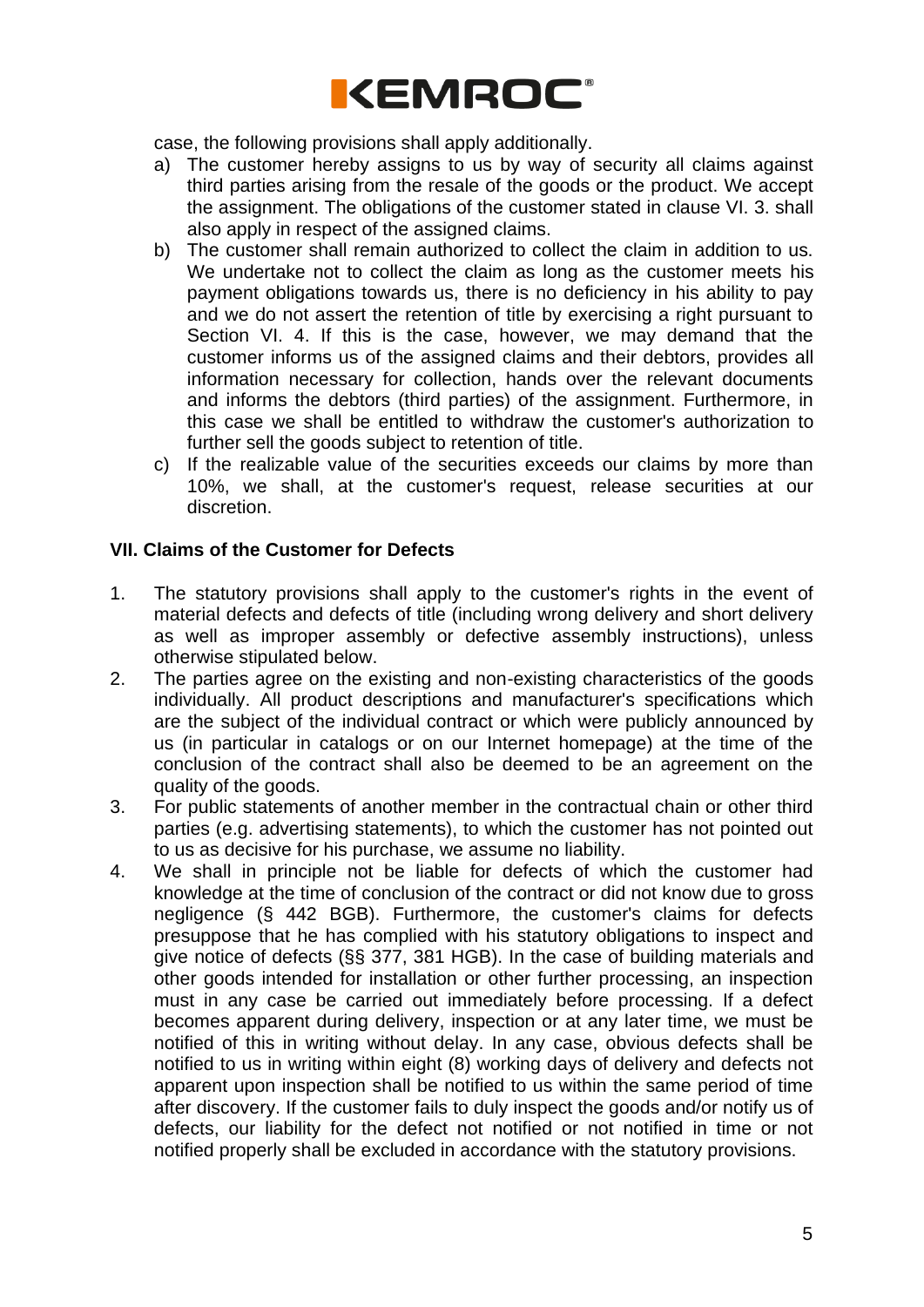

case, the following provisions shall apply additionally.

- a) The customer hereby assigns to us by way of security all claims against third parties arising from the resale of the goods or the product. We accept the assignment. The obligations of the customer stated in clause VI. 3. shall also apply in respect of the assigned claims.
- b) The customer shall remain authorized to collect the claim in addition to us. We undertake not to collect the claim as long as the customer meets his payment obligations towards us, there is no deficiency in his ability to pay and we do not assert the retention of title by exercising a right pursuant to Section VI. 4. If this is the case, however, we may demand that the customer informs us of the assigned claims and their debtors, provides all information necessary for collection, hands over the relevant documents and informs the debtors (third parties) of the assignment. Furthermore, in this case we shall be entitled to withdraw the customer's authorization to further sell the goods subject to retention of title.
- c) If the realizable value of the securities exceeds our claims by more than 10%, we shall, at the customer's request, release securities at our discretion.

#### **VII. Claims of the Customer for Defects**

- 1. The statutory provisions shall apply to the customer's rights in the event of material defects and defects of title (including wrong delivery and short delivery as well as improper assembly or defective assembly instructions), unless otherwise stipulated below.
- 2. The parties agree on the existing and non-existing characteristics of the goods individually. All product descriptions and manufacturer's specifications which are the subject of the individual contract or which were publicly announced by us (in particular in catalogs or on our Internet homepage) at the time of the conclusion of the contract shall also be deemed to be an agreement on the quality of the goods.
- 3. For public statements of another member in the contractual chain or other third parties (e.g. advertising statements), to which the customer has not pointed out to us as decisive for his purchase, we assume no liability.
- 4. We shall in principle not be liable for defects of which the customer had knowledge at the time of conclusion of the contract or did not know due to gross negligence (§ 442 BGB). Furthermore, the customer's claims for defects presuppose that he has complied with his statutory obligations to inspect and give notice of defects (§§ 377, 381 HGB). In the case of building materials and other goods intended for installation or other further processing, an inspection must in any case be carried out immediately before processing. If a defect becomes apparent during delivery, inspection or at any later time, we must be notified of this in writing without delay. In any case, obvious defects shall be notified to us in writing within eight (8) working days of delivery and defects not apparent upon inspection shall be notified to us within the same period of time after discovery. If the customer fails to duly inspect the goods and/or notify us of defects, our liability for the defect not notified or not notified in time or not notified properly shall be excluded in accordance with the statutory provisions.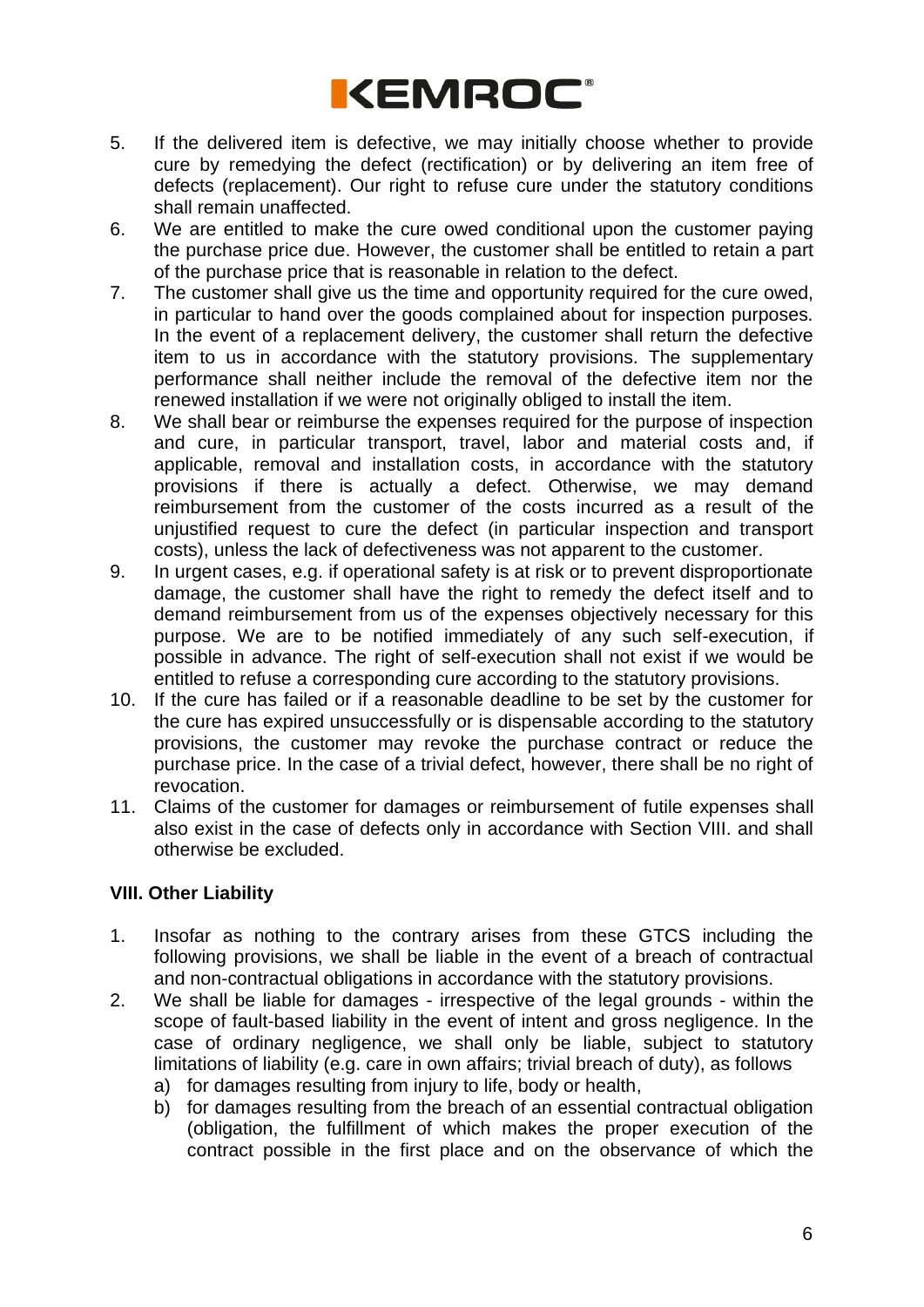

- 5. If the delivered item is defective, we may initially choose whether to provide cure by remedying the defect (rectification) or by delivering an item free of defects (replacement). Our right to refuse cure under the statutory conditions shall remain unaffected.
- 6. We are entitled to make the cure owed conditional upon the customer paying the purchase price due. However, the customer shall be entitled to retain a part of the purchase price that is reasonable in relation to the defect.
- 7. The customer shall give us the time and opportunity required for the cure owed, in particular to hand over the goods complained about for inspection purposes. In the event of a replacement delivery, the customer shall return the defective item to us in accordance with the statutory provisions. The supplementary performance shall neither include the removal of the defective item nor the renewed installation if we were not originally obliged to install the item.
- 8. We shall bear or reimburse the expenses required for the purpose of inspection and cure, in particular transport, travel, labor and material costs and, if applicable, removal and installation costs, in accordance with the statutory provisions if there is actually a defect. Otherwise, we may demand reimbursement from the customer of the costs incurred as a result of the unjustified request to cure the defect (in particular inspection and transport costs), unless the lack of defectiveness was not apparent to the customer.
- 9. In urgent cases, e.g. if operational safety is at risk or to prevent disproportionate damage, the customer shall have the right to remedy the defect itself and to demand reimbursement from us of the expenses objectively necessary for this purpose. We are to be notified immediately of any such self-execution, if possible in advance. The right of self-execution shall not exist if we would be entitled to refuse a corresponding cure according to the statutory provisions.
- 10. If the cure has failed or if a reasonable deadline to be set by the customer for the cure has expired unsuccessfully or is dispensable according to the statutory provisions, the customer may revoke the purchase contract or reduce the purchase price. In the case of a trivial defect, however, there shall be no right of revocation.
- 11. Claims of the customer for damages or reimbursement of futile expenses shall also exist in the case of defects only in accordance with Section VIII. and shall otherwise be excluded.

# **VIII. Other Liability**

- 1. Insofar as nothing to the contrary arises from these GTCS including the following provisions, we shall be liable in the event of a breach of contractual and non-contractual obligations in accordance with the statutory provisions.
- 2. We shall be liable for damages irrespective of the legal grounds within the scope of fault-based liability in the event of intent and gross negligence. In the case of ordinary negligence, we shall only be liable, subject to statutory limitations of liability (e.g. care in own affairs; trivial breach of duty), as follows
	- a) for damages resulting from injury to life, body or health,
	- b) for damages resulting from the breach of an essential contractual obligation (obligation, the fulfillment of which makes the proper execution of the contract possible in the first place and on the observance of which the